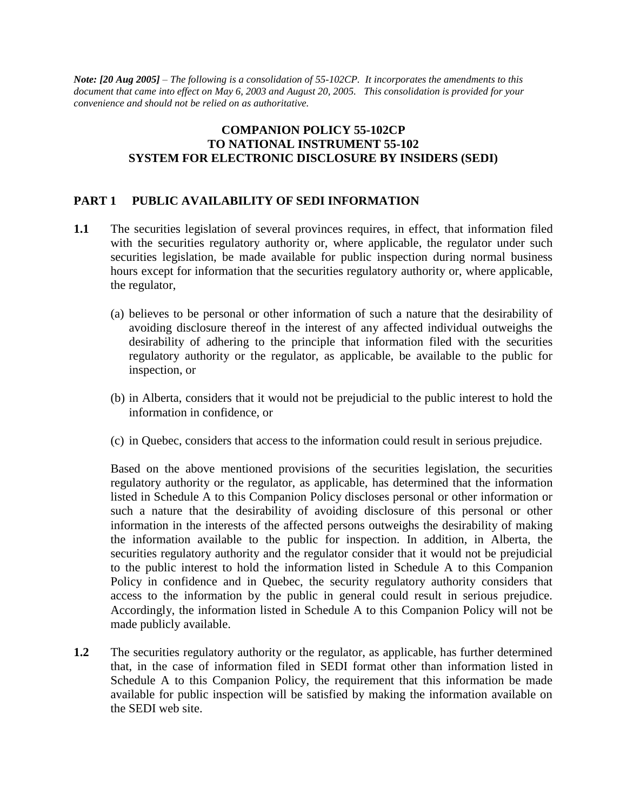*Note: [20 Aug 2005] – The following is a consolidation of 55-102CP. It incorporates the amendments to this document that came into effect on May 6, 2003 and August 20, 2005. This consolidation is provided for your convenience and should not be relied on as authoritative.*

# **COMPANION POLICY 55-102CP TO NATIONAL INSTRUMENT 55-102 SYSTEM FOR ELECTRONIC DISCLOSURE BY INSIDERS (SEDI)**

# **PART 1 PUBLIC AVAILABILITY OF SEDI INFORMATION**

- **1.1** The securities legislation of several provinces requires, in effect, that information filed with the securities regulatory authority or, where applicable, the regulator under such securities legislation, be made available for public inspection during normal business hours except for information that the securities regulatory authority or, where applicable, the regulator,
	- (a) believes to be personal or other information of such a nature that the desirability of avoiding disclosure thereof in the interest of any affected individual outweighs the desirability of adhering to the principle that information filed with the securities regulatory authority or the regulator, as applicable, be available to the public for inspection, or
	- (b) in Alberta, considers that it would not be prejudicial to the public interest to hold the information in confidence, or
	- (c) in Quebec, considers that access to the information could result in serious prejudice.

Based on the above mentioned provisions of the securities legislation, the securities regulatory authority or the regulator, as applicable, has determined that the information listed in Schedule A to this Companion Policy discloses personal or other information or such a nature that the desirability of avoiding disclosure of this personal or other information in the interests of the affected persons outweighs the desirability of making the information available to the public for inspection. In addition, in Alberta, the securities regulatory authority and the regulator consider that it would not be prejudicial to the public interest to hold the information listed in Schedule A to this Companion Policy in confidence and in Quebec, the security regulatory authority considers that access to the information by the public in general could result in serious prejudice. Accordingly, the information listed in Schedule A to this Companion Policy will not be made publicly available.

**1.2** The securities regulatory authority or the regulator, as applicable, has further determined that, in the case of information filed in SEDI format other than information listed in Schedule A to this Companion Policy, the requirement that this information be made available for public inspection will be satisfied by making the information available on the SEDI web site.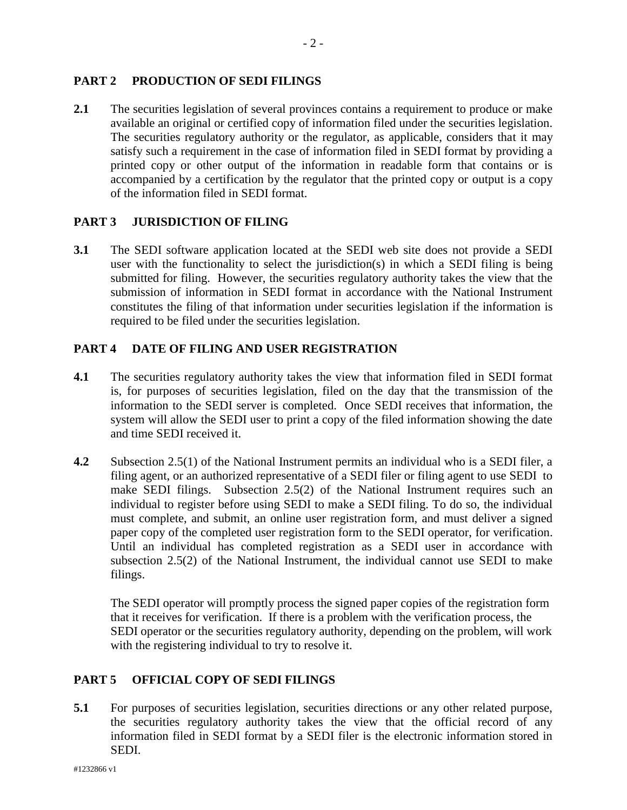# **PART 2 PRODUCTION OF SEDI FILINGS**

2.1 The securities legislation of several provinces contains a requirement to produce or make available an original or certified copy of information filed under the securities legislation. The securities regulatory authority or the regulator, as applicable, considers that it may satisfy such a requirement in the case of information filed in SEDI format by providing a printed copy or other output of the information in readable form that contains or is accompanied by a certification by the regulator that the printed copy or output is a copy of the information filed in SEDI format.

# **PART 3 JURISDICTION OF FILING**

**3.1** The SEDI software application located at the SEDI web site does not provide a SEDI user with the functionality to select the jurisdiction(s) in which a SEDI filing is being submitted for filing. However, the securities regulatory authority takes the view that the submission of information in SEDI format in accordance with the National Instrument constitutes the filing of that information under securities legislation if the information is required to be filed under the securities legislation.

# **PART 4 DATE OF FILING AND USER REGISTRATION**

- **4.1** The securities regulatory authority takes the view that information filed in SEDI format is, for purposes of securities legislation, filed on the day that the transmission of the information to the SEDI server is completed. Once SEDI receives that information, the system will allow the SEDI user to print a copy of the filed information showing the date and time SEDI received it.
- **4.2** Subsection 2.5(1) of the National Instrument permits an individual who is a SEDI filer, a filing agent, or an authorized representative of a SEDI filer or filing agent to use SEDI to make SEDI filings. Subsection 2.5(2) of the National Instrument requires such an individual to register before using SEDI to make a SEDI filing. To do so, the individual must complete, and submit, an online user registration form, and must deliver a signed paper copy of the completed user registration form to the SEDI operator, for verification. Until an individual has completed registration as a SEDI user in accordance with subsection 2.5(2) of the National Instrument, the individual cannot use SEDI to make filings.

The SEDI operator will promptly process the signed paper copies of the registration form that it receives for verification. If there is a problem with the verification process, the SEDI operator or the securities regulatory authority, depending on the problem, will work with the registering individual to try to resolve it.

# **PART 5 OFFICIAL COPY OF SEDI FILINGS**

**5.1** For purposes of securities legislation, securities directions or any other related purpose, the securities regulatory authority takes the view that the official record of any information filed in SEDI format by a SEDI filer is the electronic information stored in SEDI.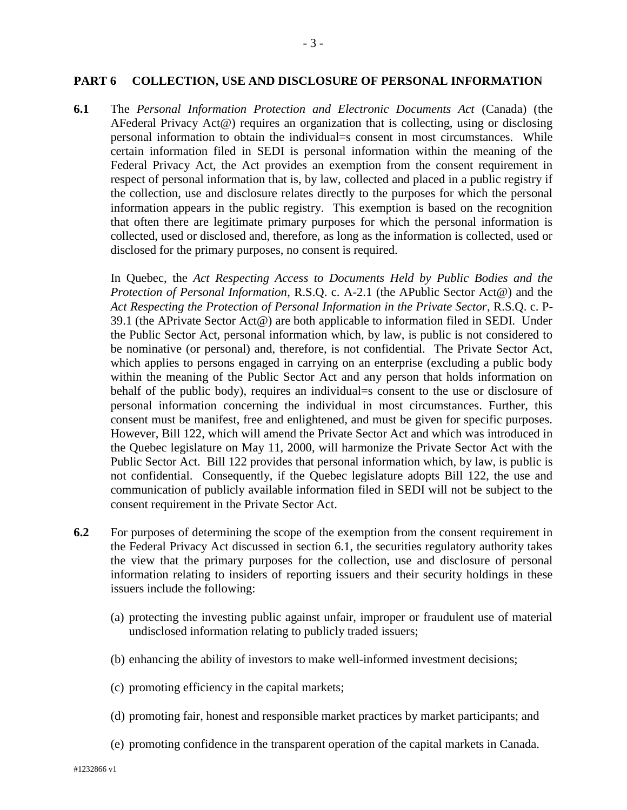#### **PART 6 COLLECTION, USE AND DISCLOSURE OF PERSONAL INFORMATION**

**6.1** The *Personal Information Protection and Electronic Documents Act* (Canada) (the AFederal Privacy Act@) requires an organization that is collecting, using or disclosing personal information to obtain the individual=s consent in most circumstances. While certain information filed in SEDI is personal information within the meaning of the Federal Privacy Act, the Act provides an exemption from the consent requirement in respect of personal information that is, by law, collected and placed in a public registry if the collection, use and disclosure relates directly to the purposes for which the personal information appears in the public registry. This exemption is based on the recognition that often there are legitimate primary purposes for which the personal information is collected, used or disclosed and, therefore, as long as the information is collected, used or disclosed for the primary purposes, no consent is required.

In Quebec, the *Act Respecting Access to Documents Held by Public Bodies and the Protection of Personal Information*, R.S.Q. c. A-2.1 (the APublic Sector Act@) and the *Act Respecting the Protection of Personal Information in the Private Sector*, R.S.Q. c. P-39.1 (the APrivate Sector Act@) are both applicable to information filed in SEDI. Under the Public Sector Act, personal information which, by law, is public is not considered to be nominative (or personal) and, therefore, is not confidential. The Private Sector Act, which applies to persons engaged in carrying on an enterprise (excluding a public body within the meaning of the Public Sector Act and any person that holds information on behalf of the public body), requires an individual=s consent to the use or disclosure of personal information concerning the individual in most circumstances. Further, this consent must be manifest, free and enlightened, and must be given for specific purposes. However, Bill 122, which will amend the Private Sector Act and which was introduced in the Quebec legislature on May 11, 2000, will harmonize the Private Sector Act with the Public Sector Act. Bill 122 provides that personal information which, by law, is public is not confidential. Consequently, if the Quebec legislature adopts Bill 122, the use and communication of publicly available information filed in SEDI will not be subject to the consent requirement in the Private Sector Act.

- **6.2** For purposes of determining the scope of the exemption from the consent requirement in the Federal Privacy Act discussed in section 6.1, the securities regulatory authority takes the view that the primary purposes for the collection, use and disclosure of personal information relating to insiders of reporting issuers and their security holdings in these issuers include the following:
	- (a) protecting the investing public against unfair, improper or fraudulent use of material undisclosed information relating to publicly traded issuers;
	- (b) enhancing the ability of investors to make well-informed investment decisions;
	- (c) promoting efficiency in the capital markets;
	- (d) promoting fair, honest and responsible market practices by market participants; and
	- (e) promoting confidence in the transparent operation of the capital markets in Canada.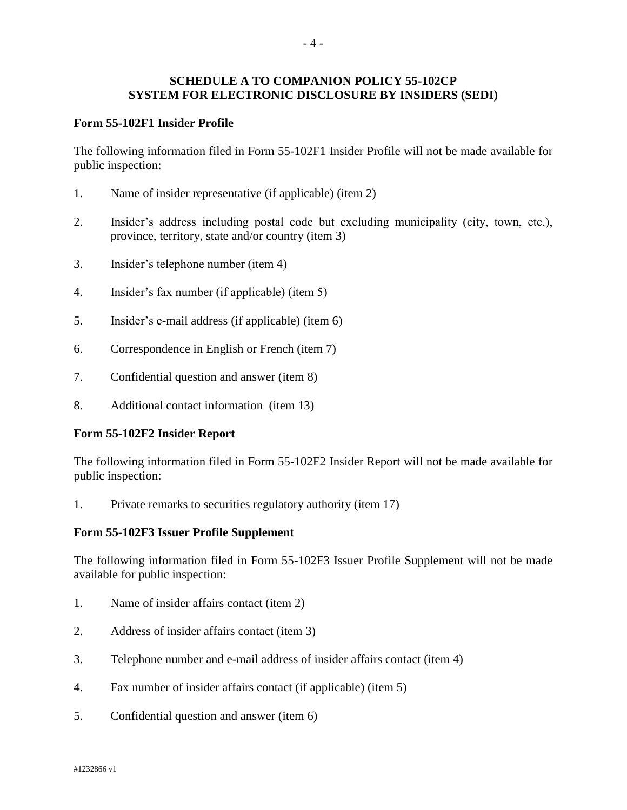### **SCHEDULE A TO COMPANION POLICY 55-102CP SYSTEM FOR ELECTRONIC DISCLOSURE BY INSIDERS (SEDI)**

### **Form 55-102F1 Insider Profile**

The following information filed in Form 55-102F1 Insider Profile will not be made available for public inspection:

- 1. Name of insider representative (if applicable) (item 2)
- 2. Insider's address including postal code but excluding municipality (city, town, etc.), province, territory, state and/or country (item 3)
- 3. Insider's telephone number (item 4)
- 4. Insider's fax number (if applicable) (item 5)
- 5. Insider's e-mail address (if applicable) (item 6)
- 6. Correspondence in English or French (item 7)
- 7. Confidential question and answer (item 8)
- 8. Additional contact information (item 13)

#### **Form 55-102F2 Insider Report**

The following information filed in Form 55-102F2 Insider Report will not be made available for public inspection:

1. Private remarks to securities regulatory authority (item 17)

#### **Form 55-102F3 Issuer Profile Supplement**

The following information filed in Form 55-102F3 Issuer Profile Supplement will not be made available for public inspection:

- 1. Name of insider affairs contact (item 2)
- 2. Address of insider affairs contact (item 3)
- 3. Telephone number and e-mail address of insider affairs contact (item 4)
- 4. Fax number of insider affairs contact (if applicable) (item 5)
- 5. Confidential question and answer (item 6)